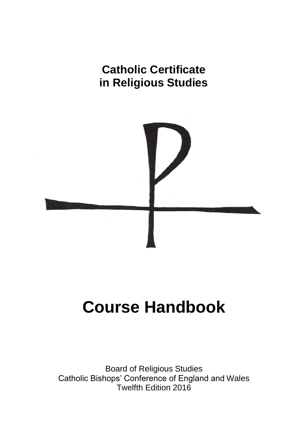## **Catholic Certificate in Religious Studies**



# **Course Handbook**

Board of Religious Studies Catholic Bishops' Conference of England and Wales Twelfth Edition 2016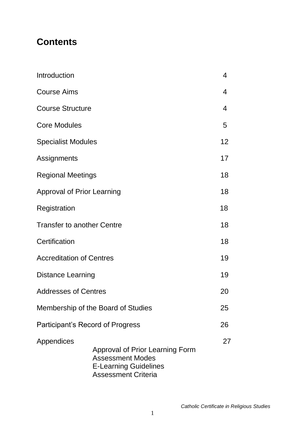## **Contents**

| Introduction                       |                                                                                                                                 | 4                        |
|------------------------------------|---------------------------------------------------------------------------------------------------------------------------------|--------------------------|
| <b>Course Aims</b>                 |                                                                                                                                 | $\overline{\mathcal{A}}$ |
| <b>Course Structure</b>            |                                                                                                                                 | $\overline{\mathcal{A}}$ |
| <b>Core Modules</b>                |                                                                                                                                 | 5                        |
| <b>Specialist Modules</b>          |                                                                                                                                 | 12                       |
| Assignments                        |                                                                                                                                 | 17                       |
| <b>Regional Meetings</b>           |                                                                                                                                 | 18                       |
| <b>Approval of Prior Learning</b>  |                                                                                                                                 | 18                       |
| Registration                       |                                                                                                                                 | 18                       |
| <b>Transfer to another Centre</b>  |                                                                                                                                 | 18                       |
| Certification                      |                                                                                                                                 | 18                       |
| <b>Accreditation of Centres</b>    |                                                                                                                                 | 19                       |
| <b>Distance Learning</b>           |                                                                                                                                 | 19                       |
| <b>Addresses of Centres</b>        |                                                                                                                                 | 20                       |
| Membership of the Board of Studies |                                                                                                                                 | 25                       |
| Participant's Record of Progress   |                                                                                                                                 | 26                       |
| Appendices                         | <b>Approval of Prior Learning Form</b><br><b>Assessment Modes</b><br><b>E-Learning Guidelines</b><br><b>Assessment Criteria</b> | 27                       |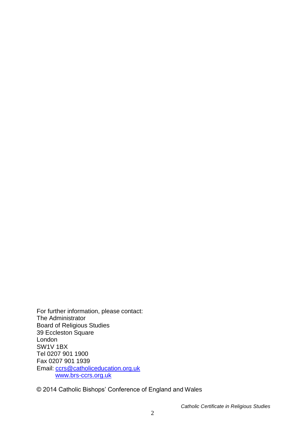For further information, please contact: The Administrator Board of Religious Studies 39 Eccleston Square London SW1V 1BX Tel 0207 901 1900 Fax 0207 901 1939 Email: [ccrs@catholiceducation.org.uk](mailto:ccrs@catholiceducation.org.uk) [www.brs-ccrs.org.uk](http://www.brs-ccrs.org.uk/)

© 2014 Catholic Bishops' Conference of England and Wales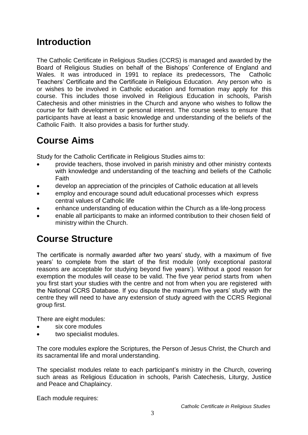## **Introduction**

The Catholic Certificate in Religious Studies (CCRS) is managed and awarded by the Board of Religious Studies on behalf of the Bishops' Conference of England and Wales. It was introduced in 1991 to replace its predecessors, The Catholic Teachers' Certificate and the Certificate in Religious Education. Any person who is or wishes to be involved in Catholic education and formation may apply for this course. This includes those involved in Religious Education in schools, Parish Catechesis and other ministries in the Church and anyone who wishes to follow the course for faith development or personal interest. The course seeks to ensure that participants have at least a basic knowledge and understanding of the beliefs of the Catholic Faith. It also provides a basis for further study.

## **Course Aims**

Study for the Catholic Certificate in Religious Studies aims to:

- provide teachers, those involved in parish ministry and other ministry contexts with knowledge and understanding of the teaching and beliefs of the Catholic Faith
- develop an appreciation of the principles of Catholic education at all levels
- employ and encourage sound adult educational processes which express central values of Catholic life
- enhance understanding of education within the Church as a life-long process
- enable all participants to make an informed contribution to their chosen field of ministry within the Church.

## **Course Structure**

The certificate is normally awarded after two years' study, with a maximum of five years' to complete from the start of the first module (only exceptional pastoral reasons are acceptable for studying beyond five years'). Without a good reason for exemption the modules will cease to be valid. The five year period starts from when you first start your studies with the centre and not from when you are registered with the National CCRS Database. If you dispute the maximum five years' study with the centre they will need to have any extension of study agreed with the CCRS Regional group first.

There are eight modules:

- six core modules
- two specialist modules.

The core modules explore the Scriptures, the Person of Jesus Christ, the Church and its sacramental life and moral understanding.

The specialist modules relate to each participant's ministry in the Church, covering such areas as Religious Education in schools, Parish Catechesis, Liturgy, Justice and Peace and Chaplaincy.

Each module requires: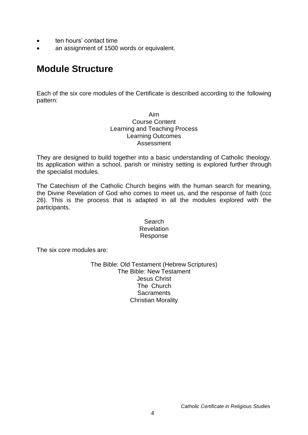- ten hours' contact time
- an assignment of 1500 words or equivalent.

## **Module Structure**

Each of the six core modules of the Certificate is described according to the following pattern:

> Aim Course Content Learning and Teaching Process Learning Outcomes Assessment

They are designed to build together into a basic understanding of Catholic theology. Its application within a school, parish or ministry setting is explored further through the specialist modules.

The Catechism of the Catholic Church begins with the human search for meaning, the Divine Revelation of God who comes to meet us, and the response of faith (ccc 26). This is the process that is adapted in all the modules explored with the participants.

> **Search Revelation** Response

The six core modules are:

The Bible: Old Testament (Hebrew Scriptures) The Bible: New Testament Jesus Christ The Church **Sacraments** Christian Morality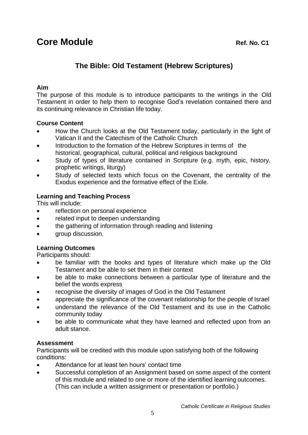## **The Bible: Old Testament (Hebrew Scriptures)**

#### **Aim**

The purpose of this module is to introduce participants to the writings in the Old Testament in order to help them to recognise God's revelation contained there and its continuing relevance in Christian life today.

#### **Course Content**

- How the Church looks at the Old Testament today, particularly in the light of Vatican II and the Catechism of the Catholic Church
- Introduction to the formation of the Hebrew Scriptures in terms of the historical, geographical, cultural, political and religious background
- Study of types of literature contained in Scripture (e.g. myth, epic, history, prophetic writings, liturgy)
- Study of selected texts which focus on the Covenant, the centrality of the Exodus experience and the formative effect of the Exile.

### **Learning and Teaching Process**

This will include:

- reflection on personal experience
- related input to deepen understanding
- the gathering of information through reading and listening
- group discussion.

#### **Learning Outcomes**

Participants should:

- be familiar with the books and types of literature which make up the Old Testament and be able to set them in their context
- be able to make connections between a particular type of literature and the belief the words express
- recognise the diversity of images of God in the Old Testament
- appreciate the significance of the covenant relationship for the people of Israel
- understand the relevance of the Old Testament and its use in the Catholic community today
- be able to communicate what they have learned and reflected upon from an adult stance.

#### **Assessment**

- Attendance for at least ten hours' contact time
- Successful completion of an Assignment based on some aspect of the content of this module and related to one or more of the identified learning outcomes. (This can include a written assignment or presentation or portfolio.)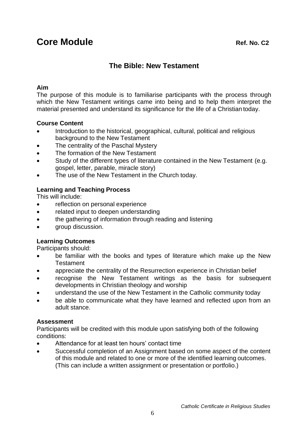## **The Bible: New Testament**

### **Aim**

The purpose of this module is to familiarise participants with the process through which the New Testament writings came into being and to help them interpret the material presented and understand its significance for the life of a Christian today.

## **Course Content**

- Introduction to the historical, geographical, cultural, political and religious background to the New Testament
- The centrality of the Paschal Mystery
- The formation of the New Testament
- Study of the different types of literature contained in the New Testament (e.g. gospel, letter, parable, miracle story)
- The use of the New Testament in the Church today.

## **Learning and Teaching Process**

This will include:

- reflection on personal experience
- related input to deepen understanding
- the gathering of information through reading and listening
- group discussion.

## **Learning Outcomes**

Participants should:

- be familiar with the books and types of literature which make up the New **Testament**
- appreciate the centrality of the Resurrection experience in Christian belief
- recognise the New Testament writings as the basis for subsequent developments in Christian theology and worship
- understand the use of the New Testament in the Catholic community today
- be able to communicate what they have learned and reflected upon from an adult stance.

### **Assessment**

- Attendance for at least ten hours' contact time
- Successful completion of an Assignment based on some aspect of the content of this module and related to one or more of the identified learning outcomes. (This can include a written assignment or presentation or portfolio.)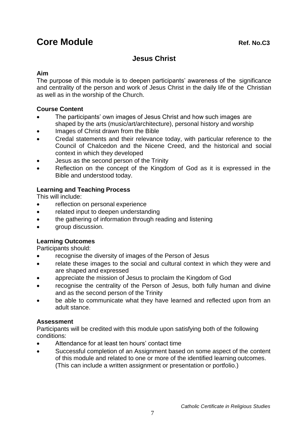## **Core Module Ref. No.C3**

## **Jesus Christ**

### **Aim**

The purpose of this module is to deepen participants' awareness of the significance and centrality of the person and work of Jesus Christ in the daily life of the Christian as well as in the worship of the Church.

### **Course Content**

- The participants' own images of Jesus Christ and how such images are shaped by the arts (music/art/architecture), personal history and worship
- Images of Christ drawn from the Bible
- Credal statements and their relevance today, with particular reference to the Council of Chalcedon and the Nicene Creed, and the historical and social context in which they developed
- Jesus as the second person of the Trinity
- Reflection on the concept of the Kingdom of God as it is expressed in the Bible and understood today.

## **Learning and Teaching Process**

This will include:

- reflection on personal experience
- related input to deepen understanding
- the gathering of information through reading and listening
- **group discussion.**

## **Learning Outcomes**

Participants should:

- recognise the diversity of images of the Person of Jesus
- relate these images to the social and cultural context in which they were and are shaped and expressed
- appreciate the mission of Jesus to proclaim the Kingdom of God
- recognise the centrality of the Person of Jesus, both fully human and divine and as the second person of the Trinity
- be able to communicate what they have learned and reflected upon from an adult stance.

## **Assessment**

- Attendance for at least ten hours' contact time
- Successful completion of an Assignment based on some aspect of the content of this module and related to one or more of the identified learning outcomes. (This can include a written assignment or presentation or portfolio.)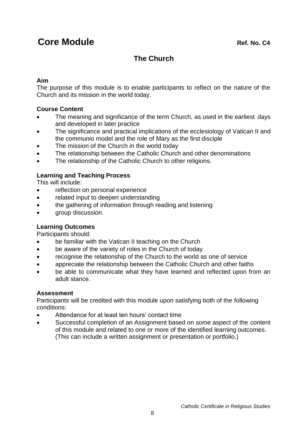## **The Church**

### **Aim**

The purpose of this module is to enable participants to reflect on the nature of the Church and its mission in the world today.

### **Course Content**

- The meaning and significance of the term Church, as used in the earliest days and developed in later practice
- The significance and practical implications of the ecclesiology of Vatican II and the communio model and the role of Mary as the first disciple
- The mission of the Church in the world today
- The relationship between the Catholic Church and other denominations
- The relationship of the Catholic Church to other religions.

## **Learning and Teaching Process**

This will include:

- reflection on personal experience
- related input to deepen understanding
- the gathering of information through reading and listening
- **group discussion.**

## **Learning Outcomes**

Participants should:

- be familiar with the Vatican II teaching on the Church
- be aware of the variety of roles in the Church of today
- recognise the relationship of the Church to the world as one of service
- appreciate the relationship between the Catholic Church and other faiths
- be able to communicate what they have learned and reflected upon from an adult stance.

## **Assessment**

- Attendance for at least ten hours' contact time
- Successful completion of an Assignment based on some aspect of the content of this module and related to one or more of the identified learning outcomes. (This can include a written assignment or presentation or portfolio.)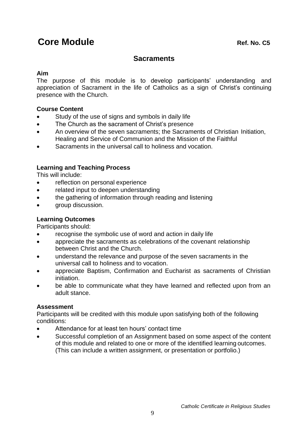## **Core Module Ref. No. C5**

## **Sacraments**

### **Aim**

The purpose of this module is to develop participants' understanding and appreciation of Sacrament in the life of Catholics as a sign of Christ's continuing presence with the Church.

### **Course Content**

- Study of the use of signs and symbols in daily life
- The Church as the sacrament of Christ's presence
- An overview of the seven sacraments; the Sacraments of Christian Initiation, Healing and Service of Communion and the Mission of the Faithful
- Sacraments in the universal call to holiness and vocation.

## **Learning and Teaching Process**

This will include:

- reflection on personal experience
- related input to deepen understanding
- the gathering of information through reading and listening
- **group discussion.**

## **Learning Outcomes**

Participants should:

- recognise the symbolic use of word and action in daily life
- appreciate the sacraments as celebrations of the covenant relationship between Christ and the Church.
- understand the relevance and purpose of the seven sacraments in the universal call to holiness and to vocation.
- appreciate Baptism, Confirmation and Eucharist as sacraments of Christian initiation.
- be able to communicate what they have learned and reflected upon from an adult stance.

### **Assessment**

- Attendance for at least ten hours' contact time
- Successful completion of an Assignment based on some aspect of the content of this module and related to one or more of the identified learning outcomes. (This can include a written assignment, or presentation or portfolio.)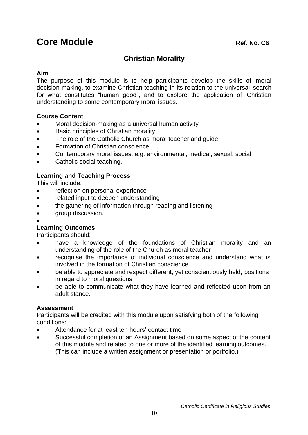## **Core Module Ref. No. C6**

## **Christian Morality**

#### **Aim**

The purpose of this module is to help participants develop the skills of moral decision-making, to examine Christian teaching in its relation to the universal search for what constitutes "human good", and to explore the application of Christian understanding to some contemporary moral issues.

#### **Course Content**

- Moral decision-making as a universal human activity
- Basic principles of Christian morality
- The role of the Catholic Church as moral teacher and guide
- Formation of Christian conscience
- Contemporary moral issues: e.g. environmental, medical, sexual, social
- Catholic social teaching.

### **Learning and Teaching Process**

This will include:

- reflection on personal experience
- related input to deepen understanding
- the gathering of information through reading and listening
- aroup discussion.
- $\bullet$

### **Learning Outcomes**

Participants should:

- have a knowledge of the foundations of Christian morality and an understanding of the role of the Church as moral teacher
- recognise the importance of individual conscience and understand what is involved in the formation of Christian conscience
- be able to appreciate and respect different, yet conscientiously held, positions in regard to moral questions
- be able to communicate what they have learned and reflected upon from an adult stance.

### **Assessment**

- Attendance for at least ten hours' contact time
- Successful completion of an Assignment based on some aspect of the content of this module and related to one or more of the identified learning outcomes. (This can include a written assignment or presentation or portfolio.)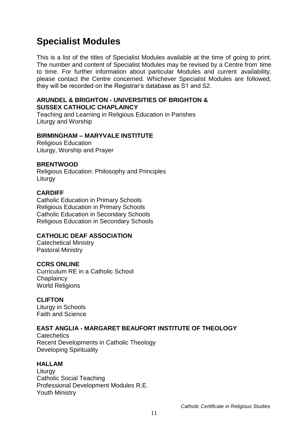## **Specialist Modules**

This is a list of the titles of Specialist Modules available at the time of going to print. The number and content of Specialist Modules may be revised by a Centre from time to time. For further information about particular Modules and current availability, please contact the Centre concerned. Whichever Specialist Modules are followed, they will be recorded on the Registrar's database as S1 and S2.

#### **ARUNDEL & BRIGHTON - UNIVERSITIES OF BRIGHTON & SUSSEX CATHOLIC CHAPLAINCY**

Teaching and Learning in Religious Education in Parishes Liturgy and Worship

#### **BIRMINGHAM – MARYVALE INSTITUTE**

Religious Education Liturgy, Worship and Prayer

#### **BRENTWOOD**

Religious Education: Philosophy and Principles Liturgy

#### **CARDIFF**

Catholic Education in Primary Schools Religious Education in Primary Schools Catholic Education in Secondary Schools Religious Education in Secondary Schools

#### **CATHOLIC DEAF ASSOCIATION**

Catechetical Ministry Pastoral Ministry

### **CCRS ONLINE**

Curriculum RE in a Catholic School **Chaplaincy** World Religions

#### **CLIFTON**

Liturgy in Schools Faith and Science

### **EAST ANGLIA - MARGARET BEAUFORT INSTITUTE OF THEOLOGY**

**Catechetics** Recent Developments in Catholic Theology Developing Spirituality

#### **HALLAM**

**Liturgy** Catholic Social Teaching Professional Development Modules R.E. Youth Ministry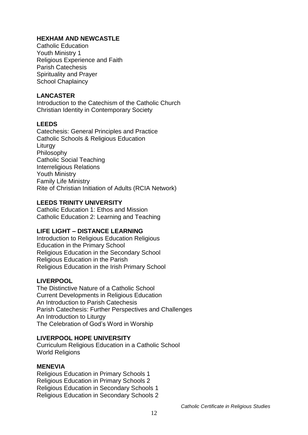## **HEXHAM AND NEWCASTLE**

Catholic Education Youth Ministry 1 Religious Experience and Faith Parish Catechesis Spirituality and Prayer School Chaplaincy

### **LANCASTER**

Introduction to the Catechism of the Catholic Church Christian Identity in Contemporary Society

## **LEEDS**

Catechesis: General Principles and Practice Catholic Schools & Religious Education Liturgy Philosophy Catholic Social Teaching Interreligious Relations Youth Ministry Family Life Ministry Rite of Christian Initiation of Adults (RCIA Network)

## **LEEDS TRINITY UNIVERSITY**

Catholic Education 1: Ethos and Mission Catholic Education 2: Learning and Teaching

## **LIFE LIGHT – DISTANCE LEARNING**

Introduction to Religious Education Religious Education in the Primary School Religious Education in the Secondary School Religious Education in the Parish Religious Education in the Irish Primary School

### **LIVERPOOL**

The Distinctive Nature of a Catholic School Current Developments in Religious Education An Introduction to Parish Catechesis Parish Catechesis: Further Perspectives and Challenges An Introduction to Liturgy The Celebration of God's Word in Worship

### **LIVERPOOL HOPE UNIVERSITY**

Curriculum Religious Education in a Catholic School World Religions

### **MENEVIA**

Religious Education in Primary Schools 1 Religious Education in Primary Schools 2 Religious Education in Secondary Schools 1 Religious Education in Secondary Schools 2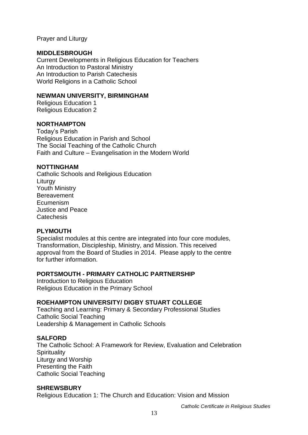#### Prayer and Liturgy

#### **MIDDLESBROUGH**

Current Developments in Religious Education for Teachers An Introduction to Pastoral Ministry An Introduction to Parish Catechesis World Religions in a Catholic School

#### **NEWMAN UNIVERSITY, BIRMINGHAM**

Religious Education 1 Religious Education 2

#### **NORTHAMPTON**

Today's Parish Religious Education in Parish and School The Social Teaching of the Catholic Church Faith and Culture – Evangelisation in the Modern World

#### **NOTTINGHAM**

Catholic Schools and Religious Education Liturgy Youth Ministry **Bereavement** Ecumenism Justice and Peace **Catechesis** 

#### **PLYMOUTH**

Specialist modules at this centre are integrated into four core modules, Transformation, Discipleship, Ministry, and Mission. This received approval from the Board of Studies in 2014. Please apply to the centre for further information.

#### **PORTSMOUTH - PRIMARY CATHOLIC PARTNERSHIP**

Introduction to Religious Education Religious Education in the Primary School

### **ROEHAMPTON UNIVERSITY/ DIGBY STUART COLLEGE**

Teaching and Learning: Primary & Secondary Professional Studies Catholic Social Teaching Leadership & Management in Catholic Schools

#### **SALFORD**

The Catholic School: A Framework for Review, Evaluation and Celebration **Spirituality** Liturgy and Worship Presenting the Faith Catholic Social Teaching

#### **SHREWSBURY**

Religious Education 1: The Church and Education: Vision and Mission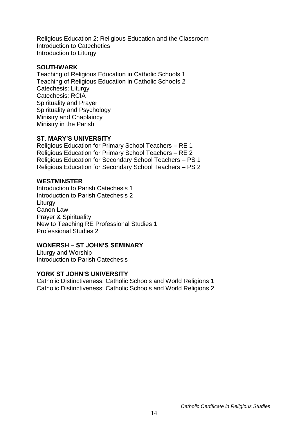Religious Education 2: Religious Education and the Classroom Introduction to Catechetics Introduction to Liturgy

#### **SOUTHWARK**

Teaching of Religious Education in Catholic Schools 1 Teaching of Religious Education in Catholic Schools 2 Catechesis: Liturgy Catechesis: RCIA Spirituality and Prayer Spirituality and Psychology Ministry and Chaplaincy Ministry in the Parish

#### **ST. MARY'S UNIVERSITY**

Religious Education for Primary School Teachers – RE 1 Religious Education for Primary School Teachers – RE 2 Religious Education for Secondary School Teachers – PS 1 Religious Education for Secondary School Teachers – PS 2

#### **WESTMINSTER**

Introduction to Parish Catechesis 1 Introduction to Parish Catechesis 2 **Liturgy** Canon Law Prayer & Spirituality New to Teaching RE Professional Studies 1 Professional Studies 2

#### **WONERSH – ST JOHN'S SEMINARY**

Liturgy and Worship Introduction to Parish Catechesis

#### **YORK ST JOHN'S UNIVERSITY**

Catholic Distinctiveness: Catholic Schools and World Religions 1 Catholic Distinctiveness: Catholic Schools and World Religions 2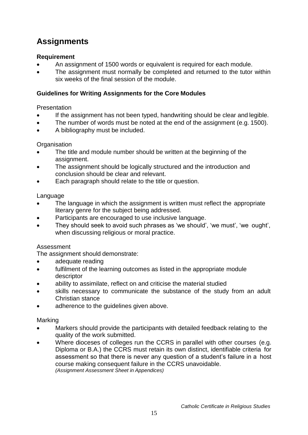## **Assignments**

### **Requirement**

- An assignment of 1500 words or equivalent is required for each module.
- The assignment must normally be completed and returned to the tutor within six weeks of the final session of the module.

#### **Guidelines for Writing Assignments for the Core Modules**

#### Presentation

- If the assignment has not been typed, handwriting should be clear and legible.
- The number of words must be noted at the end of the assignment (e.g. 1500).
- A bibliography must be included.

#### **Organisation**

- The title and module number should be written at the beginning of the assignment.
- The assignment should be logically structured and the introduction and conclusion should be clear and relevant.
- Each paragraph should relate to the title or question.

#### Language

- The language in which the assignment is written must reflect the appropriate literary genre for the subject being addressed.
- Participants are encouraged to use inclusive language.
- They should seek to avoid such phrases as 'we should', 'we must', 'we ought', when discussing religious or moral practice.

#### Assessment

The assignment should demonstrate:

- adequate reading
- fulfilment of the learning outcomes as listed in the appropriate module descriptor
- ability to assimilate, reflect on and criticise the material studied
- skills necessary to communicate the substance of the study from an adult Christian stance
- adherence to the guidelines given above.

#### Marking

- Markers should provide the participants with detailed feedback relating to the quality of the work submitted.
- Where dioceses of colleges run the CCRS in parallel with other courses (e.g. Diploma or B.A.) the CCRS must retain its own distinct, identifiable criteria for assessment so that there is never any question of a student's failure in a host course making consequent failure in the CCRS unavoidable. *(Assignment Assessment Sheet in Appendices)*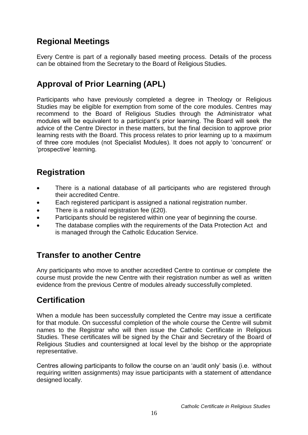## **Regional Meetings**

Every Centre is part of a regionally based meeting process. Details of the process can be obtained from the Secretary to the Board of Religious Studies.

## **Approval of Prior Learning (APL)**

Participants who have previously completed a degree in Theology or Religious Studies may be eligible for exemption from some of the core modules. Centres may recommend to the Board of Religious Studies through the Administrator what modules will be equivalent to a participant's prior learning. The Board will seek the advice of the Centre Director in these matters, but the final decision to approve prior learning rests with the Board. This process relates to prior learning up to a maximum of three core modules (not Specialist Modules). It does not apply to 'concurrent' or 'prospective' learning.

## **Registration**

- There is a national database of all participants who are registered through their accredited Centre.
- Each registered participant is assigned a national registration number.
- There is a national registration fee (£20).
- Participants should be registered within one year of beginning the course.
- The database complies with the requirements of the Data Protection Act and is managed through the Catholic Education Service.

## **Transfer to another Centre**

Any participants who move to another accredited Centre to continue or complete the course must provide the new Centre with their registration number as well as written evidence from the previous Centre of modules already successfully completed.

## **Certification**

When a module has been successfully completed the Centre may issue a certificate for that module. On successful completion of the whole course the Centre will submit names to the Registrar who will then issue the Catholic Certificate in Religious Studies. These certificates will be signed by the Chair and Secretary of the Board of Religious Studies and countersigned at local level by the bishop or the appropriate representative.

Centres allowing participants to follow the course on an 'audit only' basis (i.e. without requiring written assignments) may issue participants with a statement of attendance designed locally.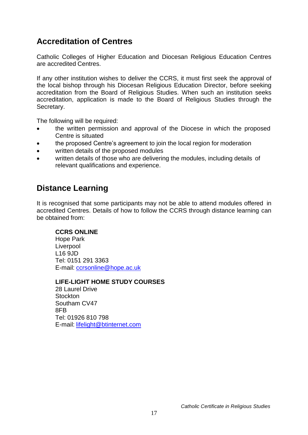## **Accreditation of Centres**

Catholic Colleges of Higher Education and Diocesan Religious Education Centres are accredited Centres.

If any other institution wishes to deliver the CCRS, it must first seek the approval of the local bishop through his Diocesan Religious Education Director, before seeking accreditation from the Board of Religious Studies. When such an institution seeks accreditation, application is made to the Board of Religious Studies through the Secretary.

The following will be required:

- the written permission and approval of the Diocese in which the proposed Centre is situated
- the proposed Centre's agreement to join the local region for moderation
- written details of the proposed modules
- written details of those who are delivering the modules, including details of relevant qualifications and experience.

## **Distance Learning**

It is recognised that some participants may not be able to attend modules offered in accredited Centres. Details of how to follow the CCRS through distance learning can be obtained from:

#### **CCRS ONLINE**

Hope Park Liverpool L16 9JD Tel: 0151 291 3363 E-mail: [ccrsonline@hope.ac.uk](mailto:ccrsonline@hope.ac.uk)

#### **LIFE-LIGHT HOME STUDY COURSES**

28 Laurel Drive **Stockton** Southam CV47 8FB Tel: 01926 810 798 E-mail: [lifelight@btinternet.com](mailto:lifelight@btinternet.com)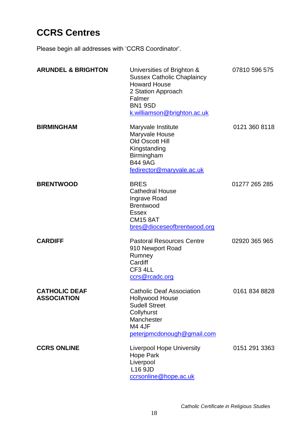## **CCRS Centres**

Please begin all addresses with 'CCRS Coordinator'.

| <b>ARUNDEL &amp; BRIGHTON</b>              | Universities of Brighton &<br><b>Sussex Catholic Chaplaincy</b><br><b>Howard House</b><br>2 Station Approach<br>Falmer<br><b>BN1 9SD</b><br>k.williamson@brighton.ac.uk | 07810 596 575 |
|--------------------------------------------|-------------------------------------------------------------------------------------------------------------------------------------------------------------------------|---------------|
| <b>BIRMINGHAM</b>                          | Maryvale Institute<br>Maryvale House<br>Old Oscott Hill<br>Kingstanding<br>Birmingham<br><b>B44 9AG</b><br>fedirector@maryvale.ac.uk                                    | 0121 360 8118 |
| <b>BRENTWOOD</b>                           | <b>BRES</b><br><b>Cathedral House</b><br><b>Ingrave Road</b><br><b>Brentwood</b><br><b>Essex</b><br><b>CM15 8AT</b><br>bres@dioceseofbrentwood.org                      | 01277 265 285 |
| <b>CARDIFF</b>                             | <b>Pastoral Resources Centre</b><br>910 Newport Road<br>Rumney<br>Cardiff<br>CF3 4LL<br>ccrs@rcadc.org                                                                  | 02920 365 965 |
| <b>CATHOLIC DEAF</b><br><b>ASSOCIATION</b> | <b>Catholic Deaf Association</b><br><b>Hollywood House</b><br><b>Sudell Street</b><br>Collyhurst<br>Manchester<br><b>M4 4JF</b><br>peterjpmcdonough@gmail.com           | 0161 834 8828 |
| <b>CCRS ONLINE</b>                         | <b>Liverpool Hope University</b><br>Hope Park<br>Liverpool<br>L16 9JD<br>ccrsonline@hope.ac.uk                                                                          | 0151 291 3363 |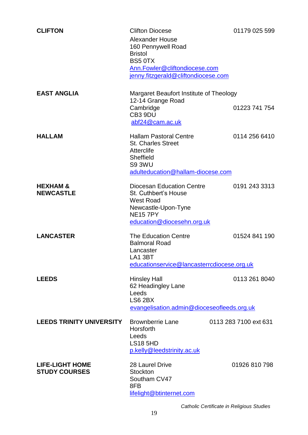| <b>CLIFTON</b>                                 | <b>Clifton Diocese</b><br><b>Alexander House</b><br>160 Pennywell Road<br><b>Bristol</b><br><b>BS5 0TX</b><br>Ann.Fowler@cliftondiocese.com<br>jenny.fitzgerald@cliftondiocese.com | 01179 025 599         |
|------------------------------------------------|------------------------------------------------------------------------------------------------------------------------------------------------------------------------------------|-----------------------|
| <b>EAST ANGLIA</b>                             | Margaret Beaufort Institute of Theology<br>12-14 Grange Road<br>Cambridge                                                                                                          | 01223 741 754         |
|                                                | CB3 9DU<br>abf24@cam.ac.uk                                                                                                                                                         |                       |
| <b>HALLAM</b>                                  | <b>Hallam Pastoral Centre</b><br><b>St. Charles Street</b><br><b>Atterclife</b><br>Sheffield<br>S93WU<br>adulteducation@hallam-diocese.com                                         | 0114 256 6410         |
| <b>HEXHAM &amp;</b><br><b>NEWCASTLE</b>        | <b>Diocesan Education Centre</b><br>St. Cuthbert's House<br><b>West Road</b><br>Newcastle-Upon-Tyne<br><b>NE157PY</b><br>education@diocesehn.org.uk                                | 0191 243 3313         |
| <b>LANCASTER</b>                               | The Education Centre<br><b>Balmoral Road</b><br>Lancaster<br>LA1 3BT<br>educationservice@lancasterrcdiocese.org.uk                                                                 | 01524 841 190         |
| <b>LEEDS</b>                                   | <b>Hinsley Hall</b><br>62 Headingley Lane<br>Leeds<br>LS6 2BX<br>evangelisation.admin@dioceseofleeds.org.uk                                                                        | 0113 261 8040         |
| <b>LEEDS TRINITY UNIVERSITY</b>                | <b>Brownberrie Lane</b><br>Horsforth<br>Leeds<br><b>LS18 5HD</b><br>p.kelly@leedstrinity.ac.uk                                                                                     | 0113 283 7100 ext 631 |
| <b>LIFE-LIGHT HOME</b><br><b>STUDY COURSES</b> | 28 Laurel Drive<br><b>Stockton</b><br>Southam CV47<br>8FB<br>lifelight@btinternet.com                                                                                              | 01926 810 798         |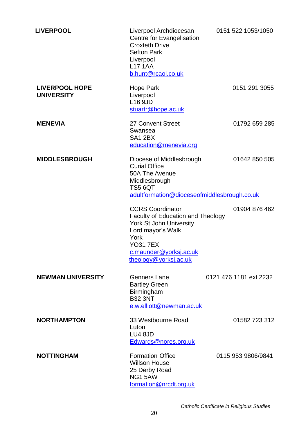| <b>LIVERPOOL</b>                           | Liverpool Archdiocesan<br>Centre for Evangelisation<br><b>Croxteth Drive</b><br><b>Sefton Park</b><br>Liverpool<br><b>L17 1AA</b><br>b.hunt@rcaol.co.uk                                                  | 0151 522 1053/1050     |
|--------------------------------------------|----------------------------------------------------------------------------------------------------------------------------------------------------------------------------------------------------------|------------------------|
| <b>LIVERPOOL HOPE</b><br><b>UNIVERSITY</b> | Hope Park<br>Liverpool<br>L16 9JD<br>stuartr@hope.ac.uk                                                                                                                                                  | 0151 291 3055          |
| <b>MENEVIA</b>                             | 27 Convent Street<br>Swansea<br>SA1 2BX<br>education@menevia.org                                                                                                                                         | 01792 659 285          |
| <b>MIDDLESBROUGH</b>                       | Diocese of Middlesbrough<br><b>Curial Office</b><br>50A The Avenue<br>Middlesbrough<br><b>TS5 6QT</b><br>adultformation@dioceseofmiddlesbrough.co.uk                                                     | 01642 850 505          |
|                                            | <b>CCRS Coordinator</b><br><b>Faculty of Education and Theology</b><br><b>York St John University</b><br>Lord mayor's Walk<br>York<br><b>YO31 7EX</b><br>c.maunder@yorksj.ac.uk<br>theology@yorksj.ac.uk | 01904 876 462          |
| <b>NEWMAN UNIVERSITY</b>                   | Genners Lane<br><b>Bartley Green</b><br>Birmingham<br><b>B32 3NT</b><br>e.w.elliott@newman.ac.uk                                                                                                         | 0121 476 1181 ext 2232 |
| <b>NORTHAMPTON</b>                         | 33 Westbourne Road<br>Luton<br><b>LU4 8JD</b><br>Edwards@nores.org.uk                                                                                                                                    | 01582 723 312          |
| <b>NOTTINGHAM</b>                          | <b>Formation Office</b><br><b>Willson House</b><br>25 Derby Road<br><b>NG1 5AW</b><br>formation@nrcdt.org.uk                                                                                             | 0115 953 9806/9841     |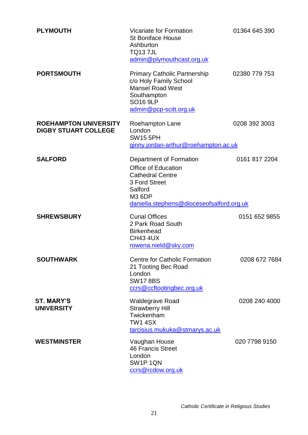| <b>PLYMOUTH</b>                                             | <b>Vicariate for Formation</b><br><b>St Boniface House</b><br>Ashburton<br><b>TQ137JL</b><br>admin@plymouthcast.org.uk                                                     | 01364 645 390 |
|-------------------------------------------------------------|----------------------------------------------------------------------------------------------------------------------------------------------------------------------------|---------------|
| <b>PORTSMOUTH</b>                                           | <b>Primary Catholic Partnership</b><br>c/o Holy Family School<br><b>Mansel Road West</b><br>Southampton<br><b>SO16 9LP</b><br>admin@pcp-scitt.org.uk                       | 02380 779 753 |
| <b>ROEHAMPTON UNIVERSITY</b><br><b>DIGBY STUART COLLEGE</b> | Roehampton Lane<br>London<br><b>SW15 5PH</b><br>ginny.jordan-arthur@roehampton.ac.uk                                                                                       | 0208 392 3003 |
| <b>SALFORD</b>                                              | Department of Formation<br><b>Office of Education</b><br><b>Cathedral Centre</b><br>3 Ford Street<br>Salford<br><b>M3 6DP</b><br>daniella.stephens@dioceseofsalford.org.uk | 0161 817 2204 |
| <b>SHREWSBURY</b>                                           | <b>Curial Offices</b><br>2 Park Road South<br><b>Birkenhead</b><br><b>CH43 4UX</b><br>rowena.nield@sky.com                                                                 | 0151 652 9855 |
| <b>SOUTHWARK</b>                                            | <b>Centre for Catholic Formation</b><br>21 Tooting Bec Road<br>London<br><b>SW178BS</b><br>ccrs@ccftootingbec.org.uk                                                       | 0208 672 7684 |
| <b>ST. MARY'S</b><br><b>UNIVERSITY</b>                      | <b>Waldegrave Road</b><br><b>Strawberry Hill</b><br>Twickenham<br><b>TW1 4SX</b><br>tarcisius.mukuka@stmarys.ac.uk                                                         | 0208 240 4000 |
| <b>WESTMINSTER</b>                                          | Vaughan House<br><b>46 Francis Street</b><br>London<br>SW1P1QN<br>ccrs@rcdow.org.uk                                                                                        | 020 7798 9150 |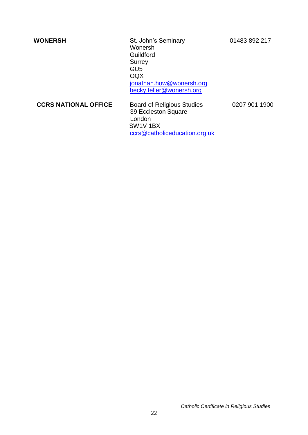**WONERSH** St. John's Seminary 01483 892 217 Wonersh Guildford **Surrey** GU5 OQX [jonathan.how@wonersh.org](mailto:jonathan.how@wonersh.org) [becky.teller@wonersh.org](mailto:becky.teller@wonersh.org)

**CCRS NATIONAL OFFICE** Board of Religious Studies 0207 901 1900 39 Eccleston Square London SW1V 1BX [ccrs@catholiceducation.org.uk](mailto:ccrs@catholiceducation.org.uk)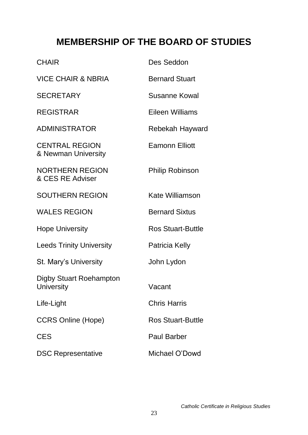## **MEMBERSHIP OF THE BOARD OF STUDIES**

| <b>CHAIR</b>                                 | Des Seddon               |
|----------------------------------------------|--------------------------|
| <b>VICE CHAIR &amp; NBRIA</b>                | <b>Bernard Stuart</b>    |
| <b>SECRETARY</b>                             | Susanne Kowal            |
| <b>REGISTRAR</b>                             | Eileen Williams          |
| <b>ADMINISTRATOR</b>                         | Rebekah Hayward          |
| <b>CENTRAL REGION</b><br>& Newman University | <b>Eamonn Elliott</b>    |
| <b>NORTHERN REGION</b><br>& CES RE Adviser   | <b>Philip Robinson</b>   |
| <b>SOUTHERN REGION</b>                       | Kate Williamson          |
| <b>WALES REGION</b>                          | <b>Bernard Sixtus</b>    |
| <b>Hope University</b>                       | <b>Ros Stuart-Buttle</b> |
| <b>Leeds Trinity University</b>              | Patricia Kelly           |
| St. Mary's University                        | John Lydon               |
| <b>Digby Stuart Roehampton</b><br>University | Vacant                   |
| Life-Light                                   | <b>Chris Harris</b>      |
| <b>CCRS Online (Hope)</b>                    | <b>Ros Stuart-Buttle</b> |
| <b>CES</b>                                   | <b>Paul Barber</b>       |
| <b>DSC Representative</b>                    | Michael O'Dowd           |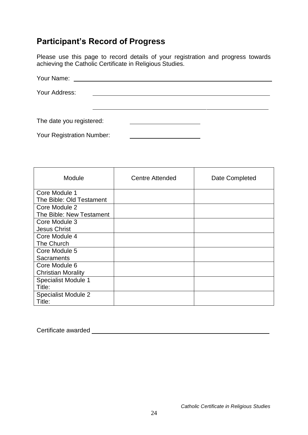## **Participant's Record of Progress**

Please use this page to record details of your registration and progress towards achieving the Catholic Certificate in Religious Studies.

| Your Name:                |  |
|---------------------------|--|
| Your Address:             |  |
|                           |  |
| The date you registered:  |  |
|                           |  |
| Your Registration Number: |  |

| Module                     | <b>Centre Attended</b> | Date Completed |
|----------------------------|------------------------|----------------|
| Core Module 1              |                        |                |
| The Bible: Old Testament   |                        |                |
| Core Module 2              |                        |                |
| The Bible: New Testament   |                        |                |
| Core Module 3              |                        |                |
| <b>Jesus Christ</b>        |                        |                |
| Core Module 4              |                        |                |
| The Church                 |                        |                |
| Core Module 5              |                        |                |
| <b>Sacraments</b>          |                        |                |
| Core Module 6              |                        |                |
| <b>Christian Morality</b>  |                        |                |
| <b>Specialist Module 1</b> |                        |                |
| Title:                     |                        |                |
| <b>Specialist Module 2</b> |                        |                |
| Title:                     |                        |                |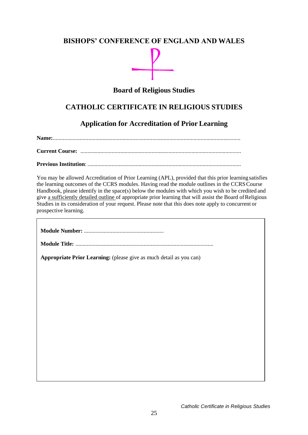## **BISHOPS' CONFERENCE OF ENGLAND AND WALES**

## **Board of Religious Studies**

## **CATHOLIC CERTIFICATE IN RELIGIOUS STUDIES**

## **Application for Accreditation of Prior Learning**

**Name:**....................................................................................................................................

**Current Course:** .................................................................................................................

#### **Previous Institution**: ............................................................................................................

You may be allowed Accreditation of Prior Learning (APL), provided that this prior learningsatisfies the learning outcomes of the CCRS modules. Having read the module outlines in the CCRSCourse Handbook, please identify in the space(s) below the modules with which you wish to be credited and give a sufficiently detailed outline of appropriate prior learning that will assist the Board ofReligious Studies in its consideration of your request. Please note that this does note apply to concurrent or prospective learning.

| Appropriate Prior Learning: (please give as much detail as you can) |  |  |
|---------------------------------------------------------------------|--|--|
|                                                                     |  |  |
|                                                                     |  |  |
|                                                                     |  |  |
|                                                                     |  |  |
|                                                                     |  |  |
|                                                                     |  |  |
|                                                                     |  |  |
|                                                                     |  |  |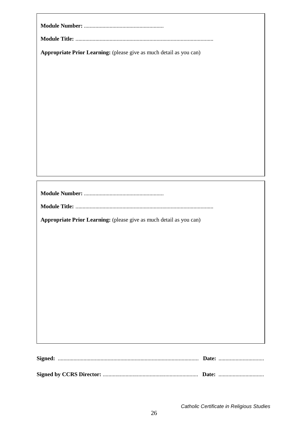| Appropriate Prior Learning: (please give as much detail as you can) |
|---------------------------------------------------------------------|
|                                                                     |
|                                                                     |
|                                                                     |
|                                                                     |
|                                                                     |
|                                                                     |
|                                                                     |
|                                                                     |
|                                                                     |
|                                                                     |
|                                                                     |
|                                                                     |
|                                                                     |
|                                                                     |
|                                                                     |
|                                                                     |
| Appropriate Prior Learning: (please give as much detail as you can) |
|                                                                     |
|                                                                     |
|                                                                     |
|                                                                     |
|                                                                     |
|                                                                     |
|                                                                     |
|                                                                     |
|                                                                     |
|                                                                     |
|                                                                     |
|                                                                     |
|                                                                     |
|                                                                     |
|                                                                     |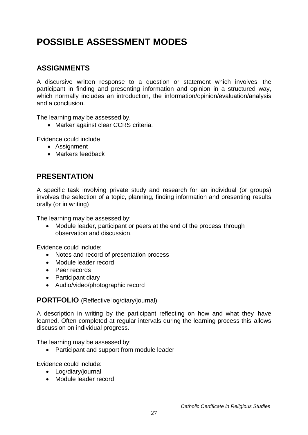## **POSSIBLE ASSESSMENT MODES**

## **ASSIGNMENTS**

A discursive written response to a question or statement which involves the participant in finding and presenting information and opinion in a structured way, which normally includes an introduction, the information/opinion/evaluation/analysis and a conclusion.

The learning may be assessed by,

Marker against clear CCRS criteria.

Evidence could include

- Assignment
- Markers feedback

## **PRESENTATION**

A specific task involving private study and research for an individual (or groups) involves the selection of a topic, planning, finding information and presenting results orally (or in writing)

The learning may be assessed by:

• Module leader, participant or peers at the end of the process through observation and discussion.

Evidence could include:

- Notes and record of presentation process
- Module leader record
- Peer records
- Participant diary
- Audio/video/photographic record

### **PORTFOLIO** (Reflective log/diary/journal)

A description in writing by the participant reflecting on how and what they have learned. Often completed at regular intervals during the learning process this allows discussion on individual progress.

The learning may be assessed by:

• Participant and support from module leader

Evidence could include:

- Log/diary/journal
- Module leader record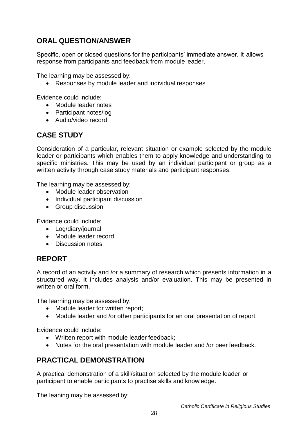## **ORAL QUESTION/ANSWER**

Specific, open or closed questions for the participants' immediate answer. It allows response from participants and feedback from module leader.

The learning may be assessed by:

Responses by module leader and individual responses

Evidence could include:

- Module leader notes
- Participant notes/log
- Audio/video record

## **CASE STUDY**

Consideration of a particular, relevant situation or example selected by the module leader or participants which enables them to apply knowledge and understanding to specific ministries. This may be used by an individual participant or group as a written activity through case study materials and participant responses.

The learning may be assessed by:

- Module leader observation
- Individual participant discussion
- Group discussion

Evidence could include:

- Log/diary/journal
- Module leader record
- Discussion notes

## **REPORT**

A record of an activity and /or a summary of research which presents information in a structured way. It includes analysis and/or evaluation. This may be presented in written or oral form.

The learning may be assessed by:

- Module leader for written report:
- Module leader and /or other participants for an oral presentation of report.

Evidence could include:

- Written report with module leader feedback;
- Notes for the oral presentation with module leader and /or peer feedback.

## **PRACTICAL DEMONSTRATION**

A practical demonstration of a skill/situation selected by the module leader or participant to enable participants to practise skills and knowledge.

The leaning may be assessed by;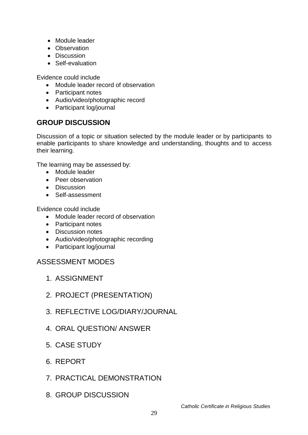- Module leader
- Observation
- Discussion
- Self-evaluation

Evidence could include

- Module leader record of observation
- Participant notes
- Audio/video/photographic record
- Participant log/journal

## **GROUP DISCUSSION**

Discussion of a topic or situation selected by the module leader or by participants to enable participants to share knowledge and understanding, thoughts and to access their learning.

The learning may be assessed by:

- Module leader
- Peer observation
- Discussion
- Self-assessment

Evidence could include

- Module leader record of observation
- Participant notes
- Discussion notes
- Audio/video/photographic recording
- Participant log/journal

## ASSESSMENT MODES

- 1. ASSIGNMENT
- 2. PROJECT (PRESENTATION)
- 3. REFLECTIVE LOG/DIARY/JOURNAL
- 4. ORAL QUESTION/ ANSWER
- 5. CASE STUDY
- 6. REPORT
- 7. PRACTICAL DEMONSTRATION
- 8. GROUP DISCUSSION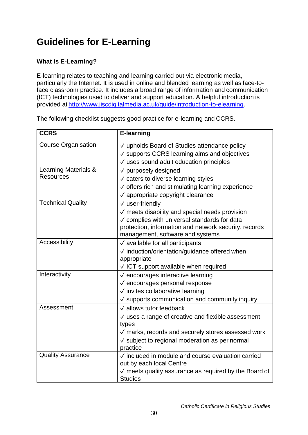## **Guidelines for E-Learning**

## **What is E-Learning?**

E-learning relates to teaching and learning carried out via electronic media, particularly the Internet. It is used in online and blended learning as well as face-toface classroom practice. It includes a broad range of information and communication (ICT) technologies used to deliver and support education. A helpful introduction is provided at [http://www.jiscdigitalmedia.ac.uk/guide/introduction-to-elearning.](http://www.jiscdigitalmedia.ac.uk/guide/introduction-to-elearning)

| <b>CCRS</b>                | <b>E-learning</b>                                              |
|----------------------------|----------------------------------------------------------------|
| <b>Course Organisation</b> | √ upholds Board of Studies attendance policy                   |
|                            | $\sqrt{\ }$ supports CCRS learning aims and objectives         |
|                            | $\sqrt{}$ uses sound adult education principles                |
| Learning Materials &       | √ purposely designed                                           |
| <b>Resources</b>           | √ caters to diverse learning styles                            |
|                            | $\sqrt{\ }$ offers rich and stimulating learning experience    |
|                            | $\sqrt{ }$ appropriate copyright clearance                     |
| <b>Technical Quality</b>   | $\sqrt{}$ user-friendly                                        |
|                            | $\sqrt{}$ meets disability and special needs provision         |
|                            | $\sqrt{\ }$ complies with universal standards for data         |
|                            | protection, information and network security, records          |
|                            | management, software and systems                               |
| Accessibility              | $\sqrt{ }$ available for all participants                      |
|                            | √ induction/orientation/guidance offered when                  |
|                            | appropriate                                                    |
|                            | $\sqrt{}$ ICT support available when required                  |
| Interactivity              | √ encourages interactive learning                              |
|                            | √ encourages personal response                                 |
|                            | √ invites collaborative learning                               |
|                            | $\sqrt{\ }$ supports communication and community inquiry       |
| Assessment                 | √ allows tutor feedback                                        |
|                            | $\sqrt{ }$ uses a range of creative and flexible assessment    |
|                            | types                                                          |
|                            | $\sqrt{ }$ marks, records and securely stores assessed work    |
|                            | $\sqrt{\ }$ subject to regional moderation as per normal       |
|                            | practice                                                       |
| <b>Quality Assurance</b>   | $\sqrt{}$ included in module and course evaluation carried     |
|                            | out by each local Centre                                       |
|                            | $\sqrt{ }$ meets quality assurance as required by the Board of |
|                            | <b>Studies</b>                                                 |

The following checklist suggests good practice for e-learning and CCRS.